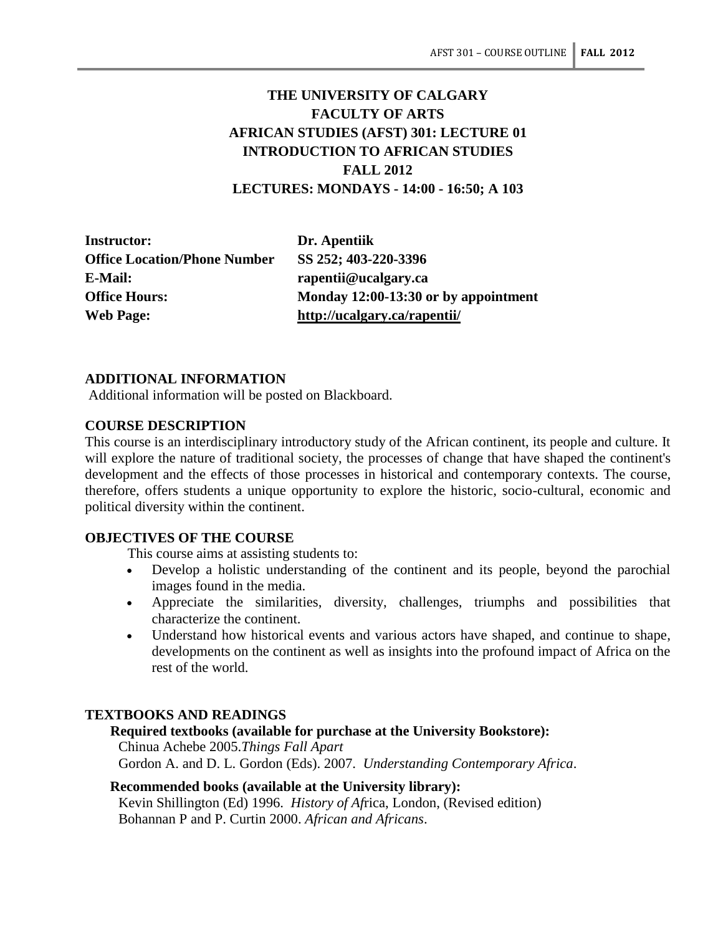# **THE UNIVERSITY OF CALGARY FACULTY OF ARTS AFRICAN STUDIES (AFST) 301: LECTURE 01 INTRODUCTION TO AFRICAN STUDIES FALL 2012 LECTURES: MONDAYS - 14:00 - 16:50; A 103**

**Instructor: Dr. Apentiik Office Location/Phone Number SS 252; 403-220-3396 E-Mail: rapentii@ucalgary.ca Web Page: http://ucalgary.ca/rapentii/**

**Office Hours: Monday 12:00-13:30 or by appointment**

# **ADDITIONAL INFORMATION**

Additional information will be posted on Blackboard.

# **COURSE DESCRIPTION**

This course is an interdisciplinary introductory study of the African continent, its people and culture. It will explore the nature of traditional society, the processes of change that have shaped the continent's development and the effects of those processes in historical and contemporary contexts. The course, therefore, offers students a unique opportunity to explore the historic, socio-cultural, economic and political diversity within the continent.

# **OBJECTIVES OF THE COURSE**

This course aims at assisting students to:

- Develop a holistic understanding of the continent and its people, beyond the parochial images found in the media.
- Appreciate the similarities, diversity, challenges, triumphs and possibilities that characterize the continent.
- Understand how historical events and various actors have shaped, and continue to shape, developments on the continent as well as insights into the profound impact of Africa on the rest of the world.

# **TEXTBOOKS AND READINGS**

# **Required textbooks (available for purchase at the University Bookstore):**

Chinua Achebe 2005.*Things Fall Apart* Gordon A. and D. L. Gordon (Eds). 2007. *Understanding Contemporary Africa*.

# **Recommended books (available at the University library):**

Kevin Shillington (Ed) 1996. *History of Af*rica, London, (Revised edition) Bohannan P and P. Curtin 2000. *African and Africans*.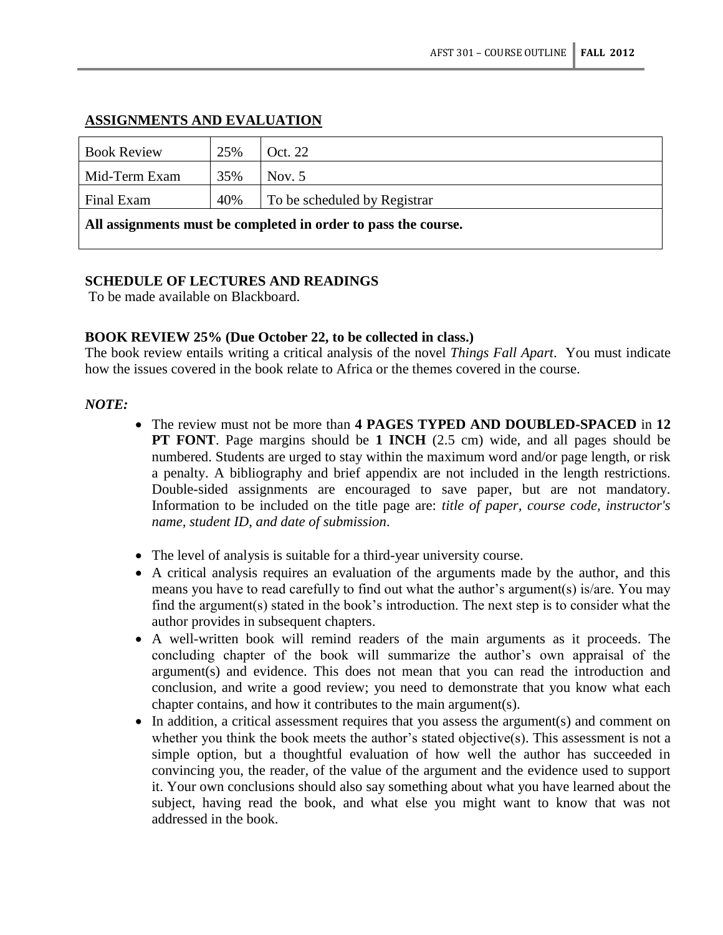# **ASSIGNMENTS AND EVALUATION**

| <b>Book Review</b>                                             | 25% | Oct. 22                      |  |
|----------------------------------------------------------------|-----|------------------------------|--|
| Mid-Term Exam                                                  | 35% | Nov. $5$                     |  |
| Final Exam                                                     | 40% | To be scheduled by Registrar |  |
| All assignments must be completed in order to pass the course. |     |                              |  |

# **SCHEDULE OF LECTURES AND READINGS**

To be made available on Blackboard.

# **BOOK REVIEW 25% (Due October 22, to be collected in class.)**

The book review entails writing a critical analysis of the novel *Things Fall Apart*. You must indicate how the issues covered in the book relate to Africa or the themes covered in the course.

# *NOTE:*

- The review must not be more than **4 PAGES TYPED AND DOUBLED-SPACED** in **12 PT FONT**. Page margins should be **1 INCH** (2.5 cm) wide, and all pages should be numbered. Students are urged to stay within the maximum word and/or page length, or risk a penalty. A bibliography and brief appendix are not included in the length restrictions. Double-sided assignments are encouraged to save paper, but are not mandatory. Information to be included on the title page are: *title of paper, course code, instructor's name, student ID, and date of submission*.
- The level of analysis is suitable for a third-year university course.
- A critical analysis requires an evaluation of the arguments made by the author, and this means you have to read carefully to find out what the author's argument(s) is/are. You may find the argument(s) stated in the book's introduction. The next step is to consider what the author provides in subsequent chapters.
- A well-written book will remind readers of the main arguments as it proceeds. The concluding chapter of the book will summarize the author's own appraisal of the argument(s) and evidence. This does not mean that you can read the introduction and conclusion, and write a good review; you need to demonstrate that you know what each chapter contains, and how it contributes to the main argument(s).
- In addition, a critical assessment requires that you assess the argument(s) and comment on whether you think the book meets the author's stated objective(s). This assessment is not a simple option, but a thoughtful evaluation of how well the author has succeeded in convincing you, the reader, of the value of the argument and the evidence used to support it. Your own conclusions should also say something about what you have learned about the subject, having read the book, and what else you might want to know that was not addressed in the book.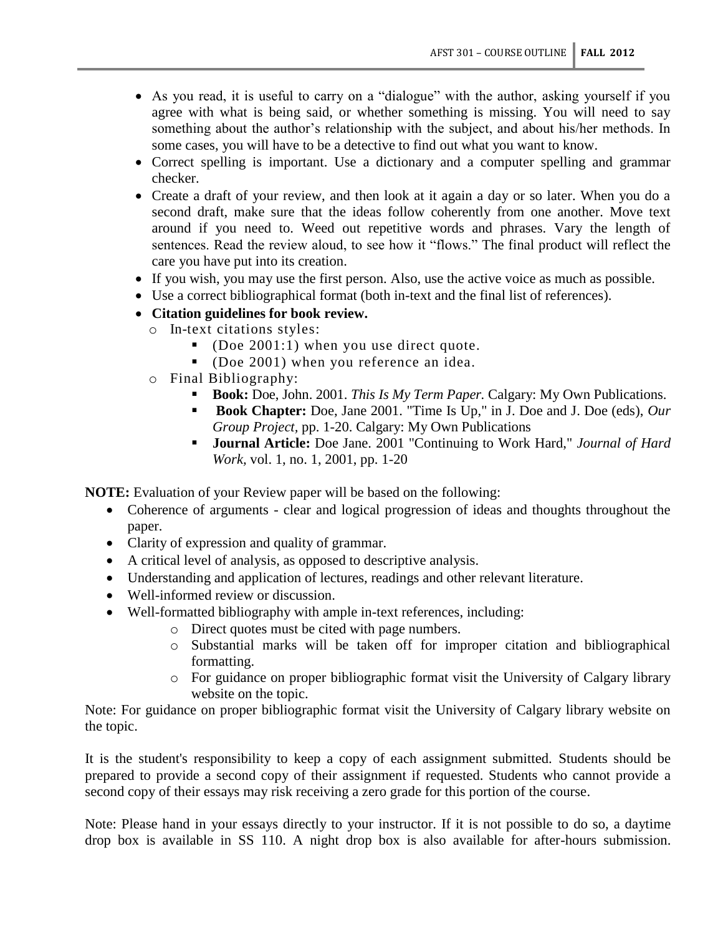- As you read, it is useful to carry on a "dialogue" with the author, asking yourself if you agree with what is being said, or whether something is missing. You will need to say something about the author's relationship with the subject, and about his/her methods. In some cases, you will have to be a detective to find out what you want to know.
- Correct spelling is important. Use a dictionary and a computer spelling and grammar checker.
- Create a draft of your review, and then look at it again a day or so later. When you do a second draft, make sure that the ideas follow coherently from one another. Move text around if you need to. Weed out repetitive words and phrases. Vary the length of sentences. Read the review aloud, to see how it "flows." The final product will reflect the care you have put into its creation.
- If you wish, you may use the first person. Also, use the active voice as much as possible.
- Use a correct bibliographical format (both in-text and the final list of references).
- **Citation guidelines for book review.**
	- o In-text citations styles:
		- (Doe 2001:1) when you use direct quote.
		- (Doe 2001) when you reference an idea.
	- o Final Bibliography:
		- **Book:** Doe, John. 2001. *This Is My Term Paper*. Calgary: My Own Publications.
		- **Book Chapter:** Doe, Jane 2001. "Time Is Up," in J. Doe and J. Doe (eds), Our *Group Project,* pp. 1-20. Calgary: My Own Publications
		- **Journal Article:** Doe Jane. 2001 "Continuing to Work Hard," *Journal of Hard Work,* vol. 1, no. 1, 2001, pp. 1-20

**NOTE:** Evaluation of your Review paper will be based on the following:

- Coherence of arguments clear and logical progression of ideas and thoughts throughout the paper.
- Clarity of expression and quality of grammar.
- A critical level of analysis, as opposed to descriptive analysis.
- Understanding and application of lectures, readings and other relevant literature.
- Well-informed review or discussion.
- Well-formatted bibliography with ample in-text references, including:
	- o Direct quotes must be cited with page numbers.
	- o Substantial marks will be taken off for improper citation and bibliographical formatting.
	- o For guidance on proper bibliographic format visit the University of Calgary library website on the topic.

Note: For guidance on proper bibliographic format visit the University of Calgary library website on the topic.

It is the student's responsibility to keep a copy of each assignment submitted. Students should be prepared to provide a second copy of their assignment if requested. Students who cannot provide a second copy of their essays may risk receiving a zero grade for this portion of the course.

Note: Please hand in your essays directly to your instructor. If it is not possible to do so, a daytime drop box is available in SS 110. A night drop box is also available for after-hours submission.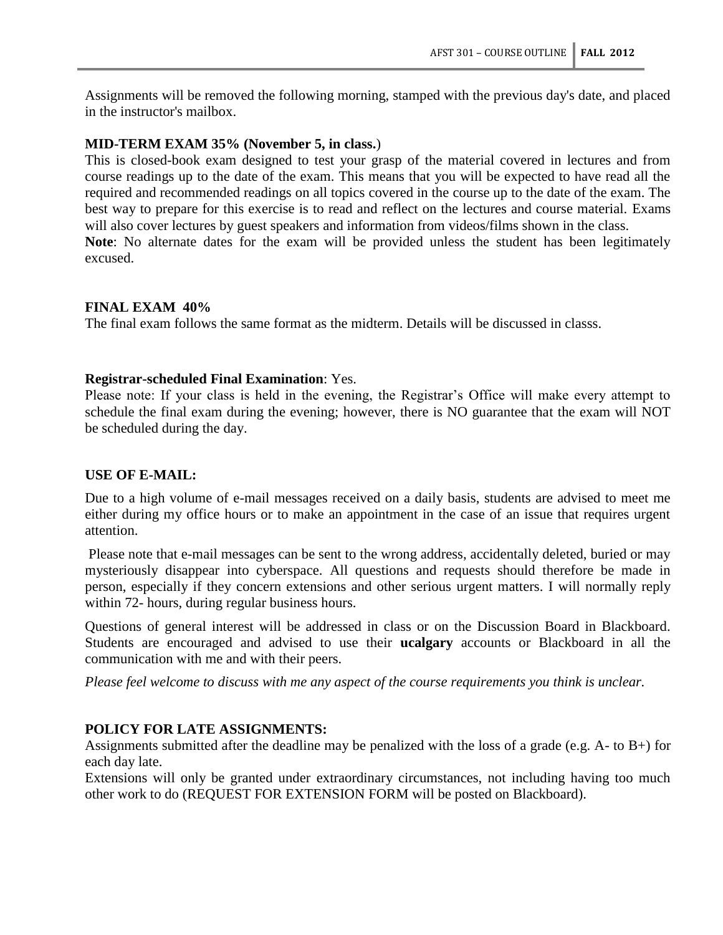Assignments will be removed the following morning, stamped with the previous day's date, and placed in the instructor's mailbox.

# **MID-TERM EXAM 35% (November 5, in class.**)

This is closed-book exam designed to test your grasp of the material covered in lectures and from course readings up to the date of the exam. This means that you will be expected to have read all the required and recommended readings on all topics covered in the course up to the date of the exam. The best way to prepare for this exercise is to read and reflect on the lectures and course material. Exams will also cover lectures by guest speakers and information from videos/films shown in the class. **Note**: No alternate dates for the exam will be provided unless the student has been legitimately excused.

# **FINAL EXAM 40%**

The final exam follows the same format as the midterm. Details will be discussed in classs.

#### **Registrar-scheduled Final Examination**: Yes.

Please note: If your class is held in the evening, the Registrar's Office will make every attempt to schedule the final exam during the evening; however, there is NO guarantee that the exam will NOT be scheduled during the day.

#### **USE OF E-MAIL:**

Due to a high volume of e-mail messages received on a daily basis, students are advised to meet me either during my office hours or to make an appointment in the case of an issue that requires urgent attention.

Please note that e-mail messages can be sent to the wrong address, accidentally deleted, buried or may mysteriously disappear into cyberspace. All questions and requests should therefore be made in person, especially if they concern extensions and other serious urgent matters. I will normally reply within 72- hours, during regular business hours.

Questions of general interest will be addressed in class or on the Discussion Board in Blackboard. Students are encouraged and advised to use their **ucalgary** accounts or Blackboard in all the communication with me and with their peers.

*Please feel welcome to discuss with me any aspect of the course requirements you think is unclear.*

# **POLICY FOR LATE ASSIGNMENTS:**

Assignments submitted after the deadline may be penalized with the loss of a grade (e.g. A- to B+) for each day late.

Extensions will only be granted under extraordinary circumstances, not including having too much other work to do (REQUEST FOR EXTENSION FORM will be posted on Blackboard).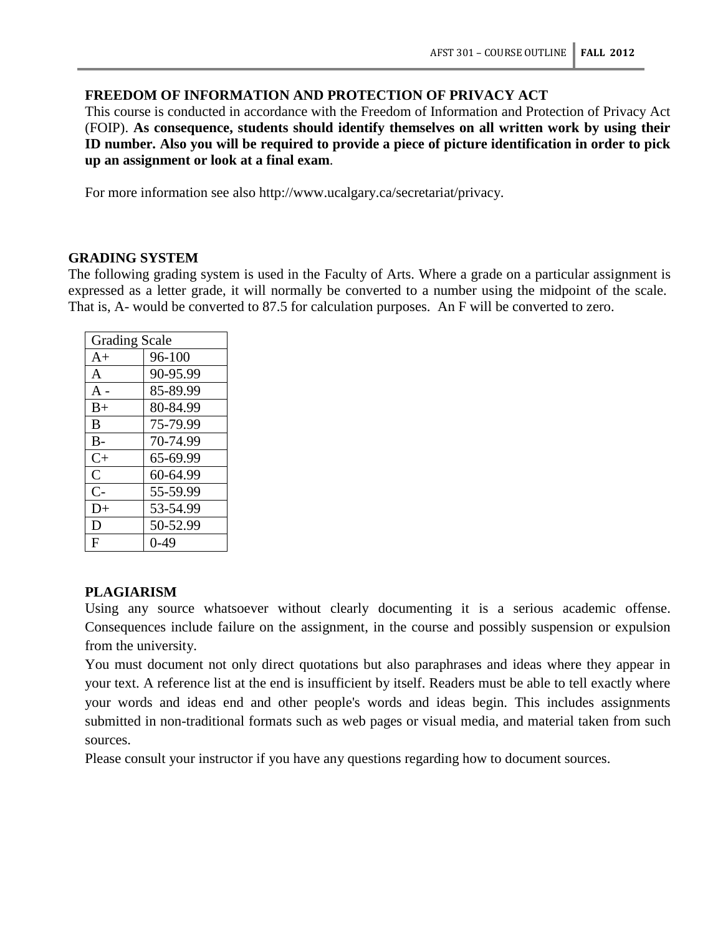# **FREEDOM OF INFORMATION AND PROTECTION OF PRIVACY ACT**

This course is conducted in accordance with the Freedom of Information and Protection of Privacy Act (FOIP). **As consequence, students should identify themselves on all written work by using their ID number. Also you will be required to provide a piece of picture identification in order to pick up an assignment or look at a final exam**.

For more information see also http://www.ucalgary.ca/secretariat/privacy.

# **GRADING SYSTEM**

The following grading system is used in the Faculty of Arts. Where a grade on a particular assignment is expressed as a letter grade, it will normally be converted to a number using the midpoint of the scale. That is, A- would be converted to 87.5 for calculation purposes. An F will be converted to zero.

| <b>Grading Scale</b> |          |  |  |
|----------------------|----------|--|--|
| $A+$                 | 96-100   |  |  |
| $\mathsf{A}$         | 90-95.99 |  |  |
| A -                  | 85-89.99 |  |  |
| $B+$                 | 80-84.99 |  |  |
| B                    | 75-79.99 |  |  |
| $B -$                | 70-74.99 |  |  |
| $C+$                 | 65-69.99 |  |  |
| $\mathcal{C}$        | 60-64.99 |  |  |
| $C-$                 | 55-59.99 |  |  |
| $D+$                 | 53-54.99 |  |  |
| D                    | 50-52.99 |  |  |
| F                    | 0-49     |  |  |

# **PLAGIARISM**

Using any source whatsoever without clearly documenting it is a serious academic offense. Consequences include failure on the assignment, in the course and possibly suspension or expulsion from the university.

You must document not only direct quotations but also paraphrases and ideas where they appear in your text. A reference list at the end is insufficient by itself. Readers must be able to tell exactly where your words and ideas end and other people's words and ideas begin. This includes assignments submitted in non-traditional formats such as web pages or visual media, and material taken from such sources.

Please consult your instructor if you have any questions regarding how to document sources.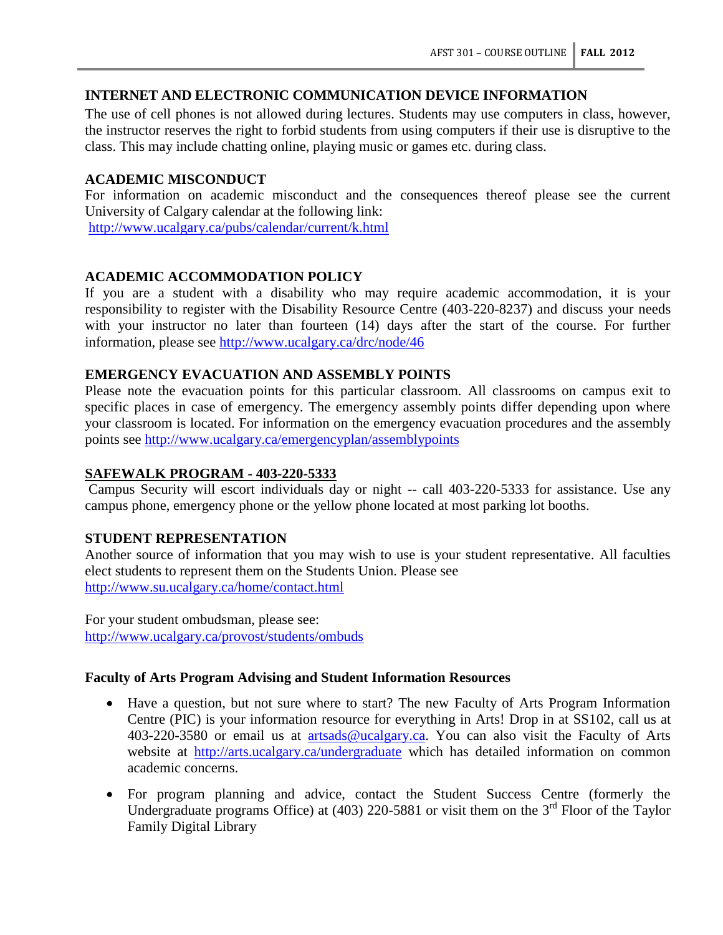# **INTERNET AND ELECTRONIC COMMUNICATION DEVICE INFORMATION**

The use of cell phones is not allowed during lectures. Students may use computers in class, however, the instructor reserves the right to forbid students from using computers if their use is disruptive to the class. This may include chatting online, playing music or games etc. during class.

# **ACADEMIC MISCONDUCT**

For information on academic misconduct and the consequences thereof please see the current University of Calgary calendar at the following link:

<http://www.ucalgary.ca/pubs/calendar/current/k.html>

# **ACADEMIC ACCOMMODATION POLICY**

If you are a student with a disability who may require academic accommodation, it is your responsibility to register with the Disability Resource Centre (403-220-8237) and discuss your needs with your instructor no later than fourteen (14) days after the start of the course. For further information, please see<http://www.ucalgary.ca/drc/node/46>

# **EMERGENCY EVACUATION AND ASSEMBLY POINTS**

Please note the evacuation points for this particular classroom. All classrooms on campus exit to specific places in case of emergency. The emergency assembly points differ depending upon where your classroom is located. For information on the emergency evacuation procedures and the assembly points see<http://www.ucalgary.ca/emergencyplan/assemblypoints>

# **SAFEWALK PROGRAM - 403-220-5333**

Campus Security will escort individuals day or night -- call 403-220-5333 for assistance. Use any campus phone, emergency phone or the yellow phone located at most parking lot booths.

# **STUDENT REPRESENTATION**

Another source of information that you may wish to use is your student representative. All faculties elect students to represent them on the Students Union. Please see <http://www.su.ucalgary.ca/home/contact.html>

For your student ombudsman, please see: <http://www.ucalgary.ca/provost/students/ombuds>

# **Faculty of Arts Program Advising and Student Information Resources**

- Have a question, but not sure where to start? The new Faculty of Arts Program Information Centre (PIC) is your information resource for everything in Arts! Drop in at SS102, call us at 403-220-3580 or email us at [artsads@ucalgary.ca.](mailto:artsads@ucalgary.ca) You can also visit the Faculty of Arts website at <http://arts.ucalgary.ca/undergraduate> which has detailed information on common academic concerns.
- For program planning and advice, contact the Student Success Centre (formerly the Undergraduate programs Office) at  $(403)$  220-5881 or visit them on the 3<sup>rd</sup> Floor of the Taylor Family Digital Library